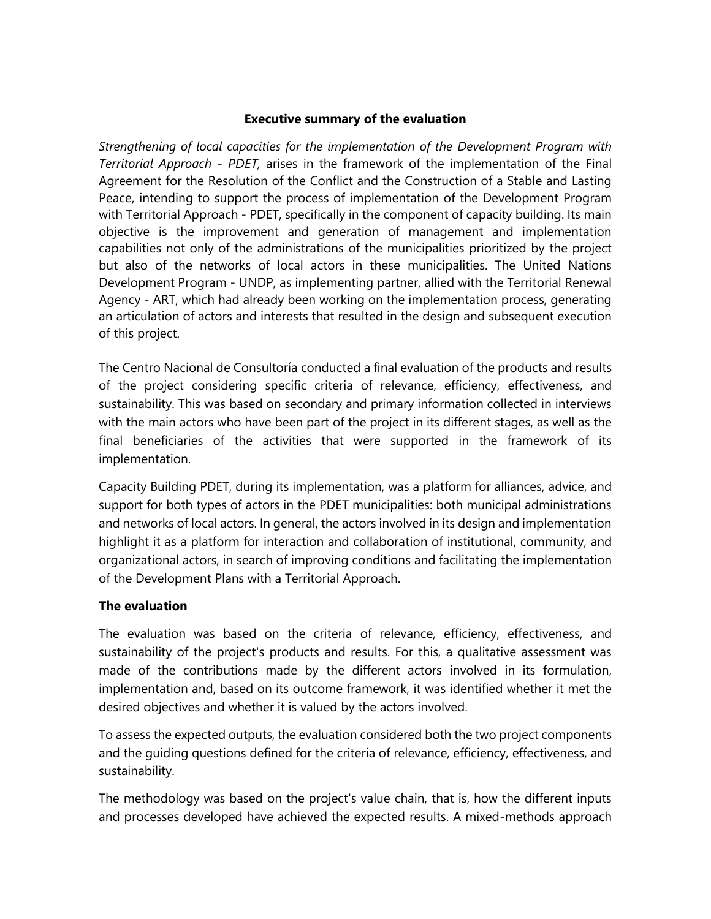#### **Executive summary of the evaluation**

*Strengthening of local capacities for the implementation of the Development Program with Territorial Approach - PDET,* arises in the framework of the implementation of the Final Agreement for the Resolution of the Conflict and the Construction of a Stable and Lasting Peace, intending to support the process of implementation of the Development Program with Territorial Approach - PDET, specifically in the component of capacity building. Its main objective is the improvement and generation of management and implementation capabilities not only of the administrations of the municipalities prioritized by the project but also of the networks of local actors in these municipalities. The United Nations Development Program - UNDP, as implementing partner, allied with the Territorial Renewal Agency - ART, which had already been working on the implementation process, generating an articulation of actors and interests that resulted in the design and subsequent execution of this project.

The Centro Nacional de Consultoría conducted a final evaluation of the products and results of the project considering specific criteria of relevance, efficiency, effectiveness, and sustainability. This was based on secondary and primary information collected in interviews with the main actors who have been part of the project in its different stages, as well as the final beneficiaries of the activities that were supported in the framework of its implementation.

Capacity Building PDET, during its implementation, was a platform for alliances, advice, and support for both types of actors in the PDET municipalities: both municipal administrations and networks of local actors. In general, the actors involved in its design and implementation highlight it as a platform for interaction and collaboration of institutional, community, and organizational actors, in search of improving conditions and facilitating the implementation of the Development Plans with a Territorial Approach.

## **The evaluation**

The evaluation was based on the criteria of relevance, efficiency, effectiveness, and sustainability of the project's products and results. For this, a qualitative assessment was made of the contributions made by the different actors involved in its formulation, implementation and, based on its outcome framework, it was identified whether it met the desired objectives and whether it is valued by the actors involved.

To assess the expected outputs, the evaluation considered both the two project components and the guiding questions defined for the criteria of relevance, efficiency, effectiveness, and sustainability.

The methodology was based on the project's value chain, that is, how the different inputs and processes developed have achieved the expected results. A mixed-methods approach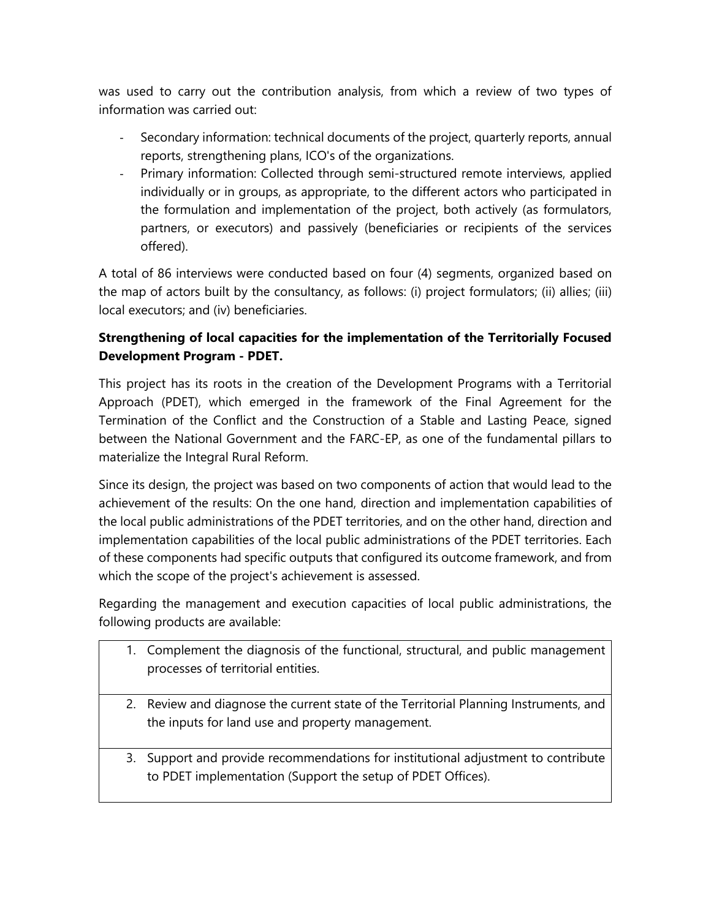was used to carry out the contribution analysis, from which a review of two types of information was carried out:

- Secondary information: technical documents of the project, quarterly reports, annual reports, strengthening plans, ICO's of the organizations.
- Primary information: Collected through semi-structured remote interviews, applied individually or in groups, as appropriate, to the different actors who participated in the formulation and implementation of the project, both actively (as formulators, partners, or executors) and passively (beneficiaries or recipients of the services offered).

A total of 86 interviews were conducted based on four (4) segments, organized based on the map of actors built by the consultancy, as follows: (i) project formulators; (ii) allies; (iii) local executors; and (iv) beneficiaries.

# **Strengthening of local capacities for the implementation of the Territorially Focused Development Program - PDET.**

This project has its roots in the creation of the Development Programs with a Territorial Approach (PDET), which emerged in the framework of the Final Agreement for the Termination of the Conflict and the Construction of a Stable and Lasting Peace, signed between the National Government and the FARC-EP, as one of the fundamental pillars to materialize the Integral Rural Reform.

Since its design, the project was based on two components of action that would lead to the achievement of the results: On the one hand, direction and implementation capabilities of the local public administrations of the PDET territories, and on the other hand, direction and implementation capabilities of the local public administrations of the PDET territories. Each of these components had specific outputs that configured its outcome framework, and from which the scope of the project's achievement is assessed.

Regarding the management and execution capacities of local public administrations, the following products are available:

- 1. Complement the diagnosis of the functional, structural, and public management processes of territorial entities.
- 2. Review and diagnose the current state of the Territorial Planning Instruments, and the inputs for land use and property management.
- 3. Support and provide recommendations for institutional adjustment to contribute to PDET implementation (Support the setup of PDET Offices).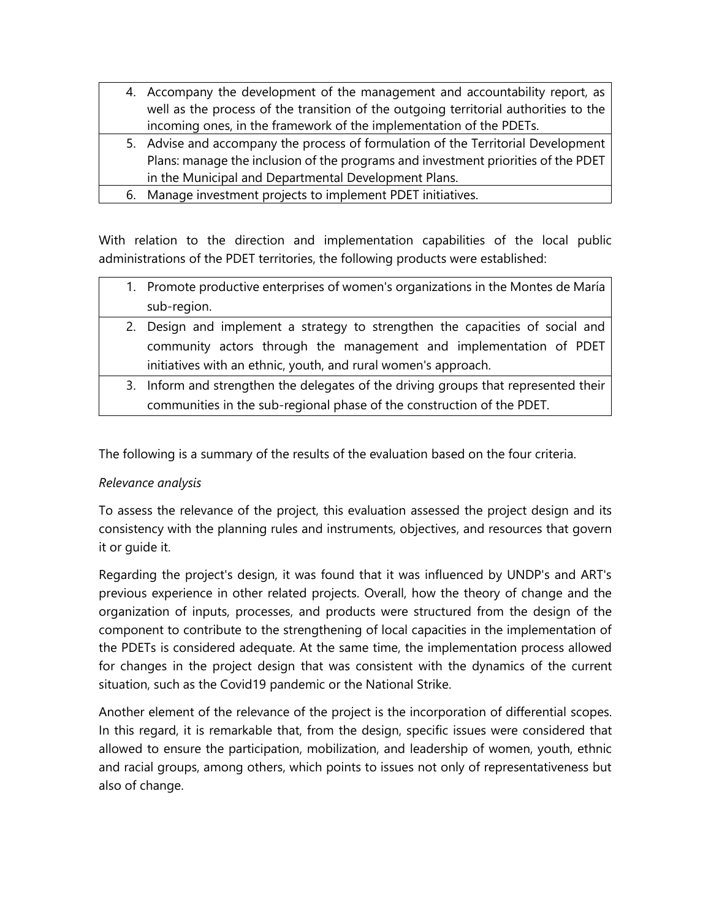- 4. Accompany the development of the management and accountability report, as well as the process of the transition of the outgoing territorial authorities to the incoming ones, in the framework of the implementation of the PDETs. 5. Advise and accompany the process of formulation of the Territorial Development Plans: manage the inclusion of the programs and investment priorities of the PDET in the Municipal and Departmental Development Plans.
	- 6. Manage investment projects to implement PDET initiatives.

With relation to the direction and implementation capabilities of the local public administrations of the PDET territories, the following products were established:

- 1. Promote productive enterprises of women's organizations in the Montes de María sub-region.
- 2. Design and implement a strategy to strengthen the capacities of social and community actors through the management and implementation of PDET initiatives with an ethnic, youth, and rural women's approach.
- 3. Inform and strengthen the delegates of the driving groups that represented their communities in the sub-regional phase of the construction of the PDET.

The following is a summary of the results of the evaluation based on the four criteria.

# *Relevance analysis*

To assess the relevance of the project, this evaluation assessed the project design and its consistency with the planning rules and instruments, objectives, and resources that govern it or guide it.

Regarding the project's design, it was found that it was influenced by UNDP's and ART's previous experience in other related projects. Overall, how the theory of change and the organization of inputs, processes, and products were structured from the design of the component to contribute to the strengthening of local capacities in the implementation of the PDETs is considered adequate. At the same time, the implementation process allowed for changes in the project design that was consistent with the dynamics of the current situation, such as the Covid19 pandemic or the National Strike.

Another element of the relevance of the project is the incorporation of differential scopes. In this regard, it is remarkable that, from the design, specific issues were considered that allowed to ensure the participation, mobilization, and leadership of women, youth, ethnic and racial groups, among others, which points to issues not only of representativeness but also of change.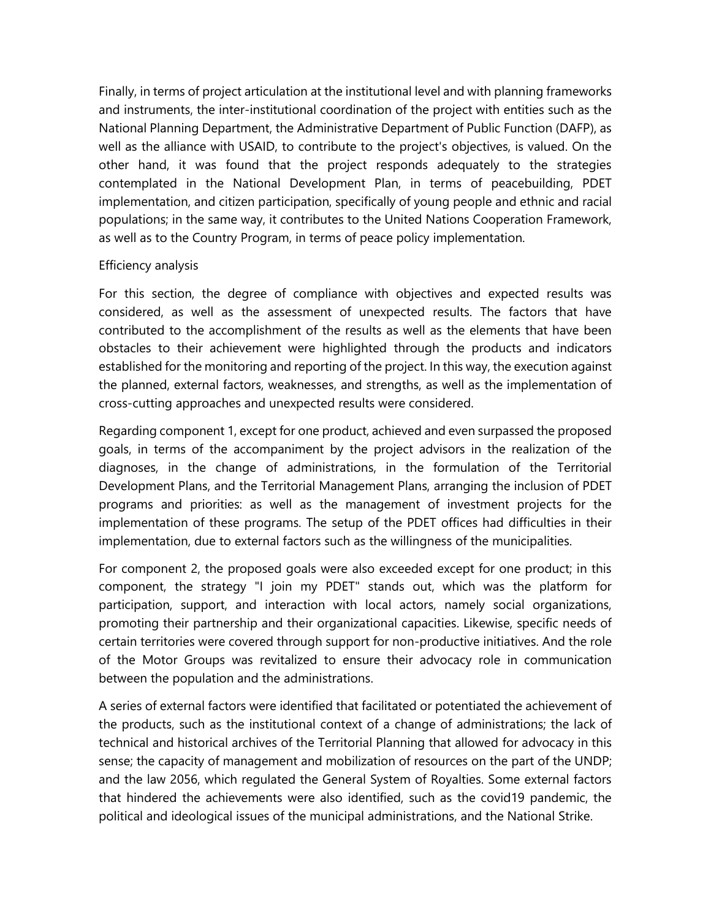Finally, in terms of project articulation at the institutional level and with planning frameworks and instruments, the inter-institutional coordination of the project with entities such as the National Planning Department, the Administrative Department of Public Function (DAFP), as well as the alliance with USAID, to contribute to the project's objectives, is valued. On the other hand, it was found that the project responds adequately to the strategies contemplated in the National Development Plan, in terms of peacebuilding, PDET implementation, and citizen participation, specifically of young people and ethnic and racial populations; in the same way, it contributes to the United Nations Cooperation Framework, as well as to the Country Program, in terms of peace policy implementation.

## Efficiency analysis

For this section, the degree of compliance with objectives and expected results was considered, as well as the assessment of unexpected results. The factors that have contributed to the accomplishment of the results as well as the elements that have been obstacles to their achievement were highlighted through the products and indicators established for the monitoring and reporting of the project. In this way, the execution against the planned, external factors, weaknesses, and strengths, as well as the implementation of cross-cutting approaches and unexpected results were considered.

Regarding component 1, except for one product, achieved and even surpassed the proposed goals, in terms of the accompaniment by the project advisors in the realization of the diagnoses, in the change of administrations, in the formulation of the Territorial Development Plans, and the Territorial Management Plans, arranging the inclusion of PDET programs and priorities: as well as the management of investment projects for the implementation of these programs. The setup of the PDET offices had difficulties in their implementation, due to external factors such as the willingness of the municipalities.

For component 2, the proposed goals were also exceeded except for one product; in this component, the strategy "I join my PDET" stands out, which was the platform for participation, support, and interaction with local actors, namely social organizations, promoting their partnership and their organizational capacities. Likewise, specific needs of certain territories were covered through support for non-productive initiatives. And the role of the Motor Groups was revitalized to ensure their advocacy role in communication between the population and the administrations.

A series of external factors were identified that facilitated or potentiated the achievement of the products, such as the institutional context of a change of administrations; the lack of technical and historical archives of the Territorial Planning that allowed for advocacy in this sense; the capacity of management and mobilization of resources on the part of the UNDP; and the law 2056, which regulated the General System of Royalties. Some external factors that hindered the achievements were also identified, such as the covid19 pandemic, the political and ideological issues of the municipal administrations, and the National Strike.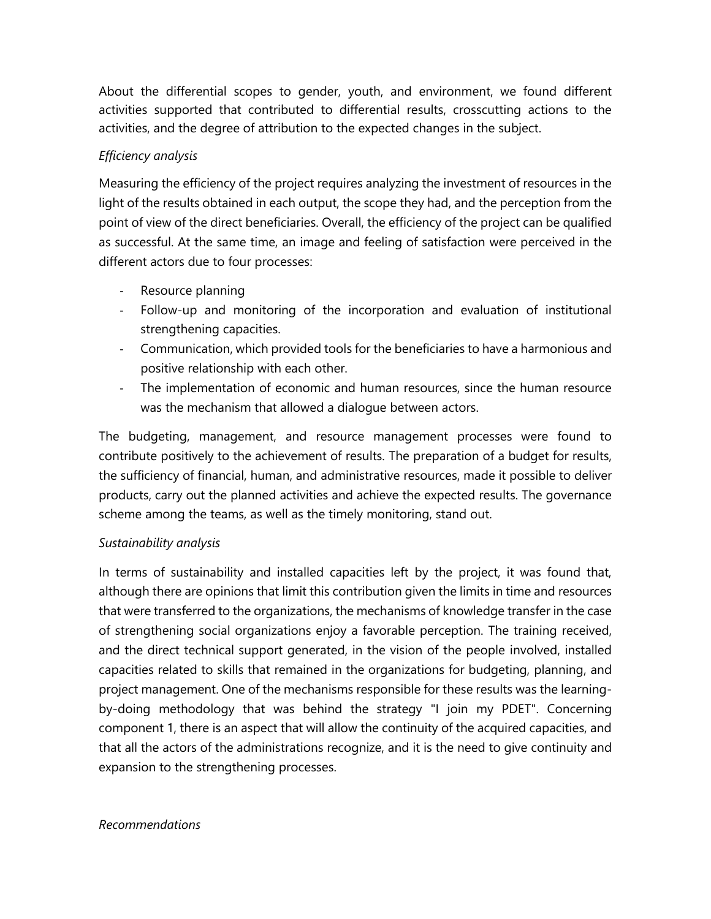About the differential scopes to gender, youth, and environment, we found different activities supported that contributed to differential results, crosscutting actions to the activities, and the degree of attribution to the expected changes in the subject.

# *Efficiency analysis*

Measuring the efficiency of the project requires analyzing the investment of resources in the light of the results obtained in each output, the scope they had, and the perception from the point of view of the direct beneficiaries. Overall, the efficiency of the project can be qualified as successful. At the same time, an image and feeling of satisfaction were perceived in the different actors due to four processes:

- Resource planning
- Follow-up and monitoring of the incorporation and evaluation of institutional strengthening capacities.
- Communication, which provided tools for the beneficiaries to have a harmonious and positive relationship with each other.
- The implementation of economic and human resources, since the human resource was the mechanism that allowed a dialogue between actors.

The budgeting, management, and resource management processes were found to contribute positively to the achievement of results. The preparation of a budget for results, the sufficiency of financial, human, and administrative resources, made it possible to deliver products, carry out the planned activities and achieve the expected results. The governance scheme among the teams, as well as the timely monitoring, stand out.

# *Sustainability analysis*

In terms of sustainability and installed capacities left by the project, it was found that, although there are opinions that limit this contribution given the limits in time and resources that were transferred to the organizations, the mechanisms of knowledge transfer in the case of strengthening social organizations enjoy a favorable perception. The training received, and the direct technical support generated, in the vision of the people involved, installed capacities related to skills that remained in the organizations for budgeting, planning, and project management. One of the mechanisms responsible for these results was the learningby-doing methodology that was behind the strategy "I join my PDET". Concerning component 1, there is an aspect that will allow the continuity of the acquired capacities, and that all the actors of the administrations recognize, and it is the need to give continuity and expansion to the strengthening processes.

## *Recommendations*